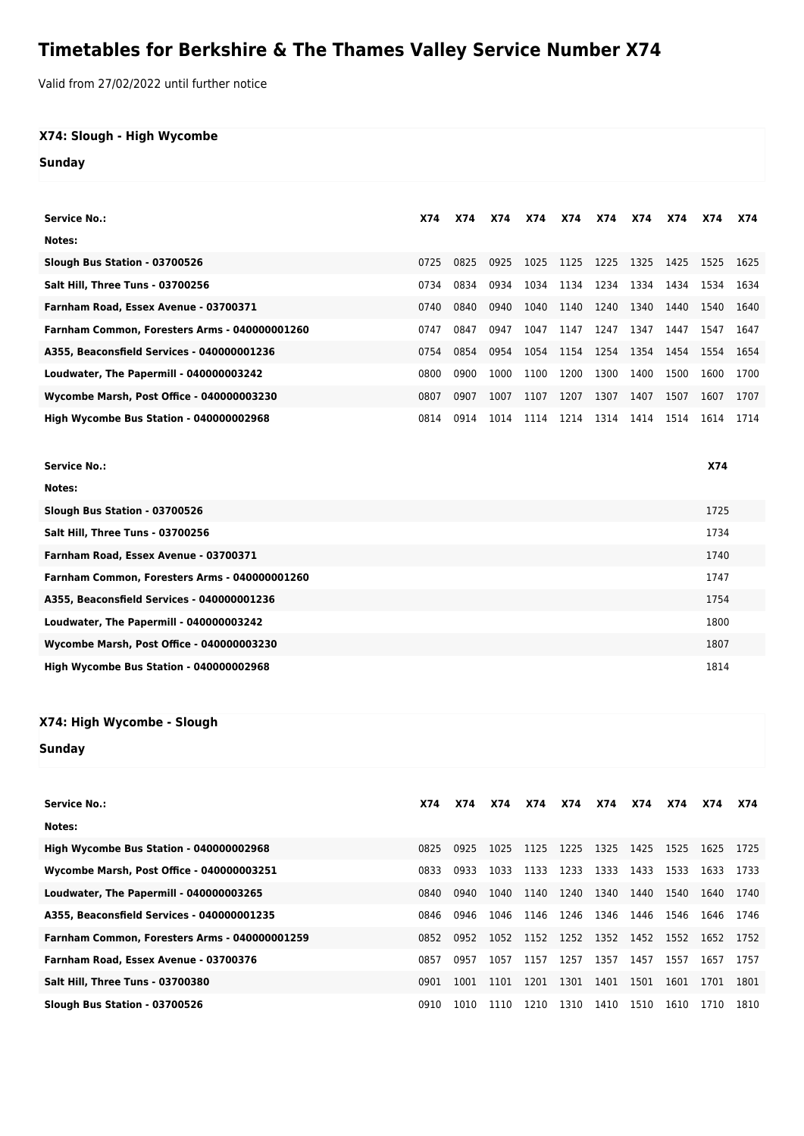## **Timetables for Berkshire & The Thames Valley Service Number X74**

Valid from 27/02/2022 until further notice

## **X74: Slough - High Wycombe**

**Sunday**

| <b>Service No.:</b>                           | X74  | X74  | <b>X74</b> | X74  | X74       | X74  | X74  | <b>X74</b> | X74  | X74  |
|-----------------------------------------------|------|------|------------|------|-----------|------|------|------------|------|------|
| Notes:                                        |      |      |            |      |           |      |      |            |      |      |
| Slough Bus Station - 03700526                 | 0725 | 0825 | 0925       | 1025 | 1125      | 1225 | 1325 | 1425       | 1525 | 1625 |
| <b>Salt Hill. Three Tuns - 03700256</b>       | 0734 | 0834 | 0934       | 1034 | 1134 1234 |      | 1334 | 1434       | 1534 | 1634 |
| Farnham Road, Essex Avenue - 03700371         | 0740 | 0840 | 0940       | 1040 | 1140      | 1240 | 1340 | 1440       | 1540 | 1640 |
| Farnham Common, Foresters Arms - 040000001260 | 0747 | 0847 | 0947       | 1047 | 1147      | 1247 | 1347 | 1447       | 1547 | 1647 |
| A355, Beaconsfield Services - 040000001236    | 0754 | 0854 | 0954       | 1054 | 1154 1254 |      | 1354 | 1454       | 1554 | 1654 |
| Loudwater, The Papermill - 040000003242       | 0800 | 0900 | 1000       | 1100 | 1200      | 1300 | 1400 | 1500       | 1600 | 1700 |
| Wycombe Marsh, Post Office - 040000003230     | 0807 | 0907 | 1007       | 1107 | 1207      | 1307 | 1407 | 1507       | 1607 | 1707 |
| High Wycombe Bus Station - 040000002968       | 0814 | 0914 | 1014       | 1114 | 1214      | 1314 | 1414 | 1514       | 1614 | 1714 |

| <b>Service No.:</b>                           | <b>X74</b> |
|-----------------------------------------------|------------|
| Notes:                                        |            |
| Slough Bus Station - 03700526                 | 1725       |
| Salt Hill, Three Tuns - 03700256              | 1734       |
| Farnham Road, Essex Avenue - 03700371         | 1740       |
| Farnham Common, Foresters Arms - 040000001260 | 1747       |
| A355, Beaconsfield Services - 040000001236    | 1754       |
| Loudwater, The Papermill - 040000003242       | 1800       |
| Wycombe Marsh, Post Office - 040000003230     | 1807       |
| High Wycombe Bus Station - 040000002968       | 1814       |

## **X74: High Wycombe - Slough**

**Sunday**

| <b>Service No.:</b>                              | X74  | <b>X74</b> | <b>X74</b> | X74  | X74       | X74  | X74  | <b>X74</b> | X74  | X74  |
|--------------------------------------------------|------|------------|------------|------|-----------|------|------|------------|------|------|
| Notes:                                           |      |            |            |      |           |      |      |            |      |      |
| High Wycombe Bus Station - 040000002968          | 0825 | 0925       | 1025       | 1125 | 1225      | 1325 | 1425 | 1525       | 1625 | 1725 |
| <b>Wycombe Marsh, Post Office - 040000003251</b> | 0833 | 0933       | 1033       | 1133 | 1233      | 1333 | 1433 | 1533       | 1633 | 1733 |
| Loudwater, The Papermill - 040000003265          | 0840 | 0940       | 1040       | 1140 | 1240      | 1340 | 1440 | 1540       | 1640 | 1740 |
| A355, Beaconsfield Services - 040000001235       | 0846 | 0946       | 1046       | 1146 | 1246      | 1346 | 1446 | 1546       | 1646 | 1746 |
| Farnham Common, Foresters Arms - 040000001259    | 0852 | 0952       | 1052       | 1152 | 1252 1352 |      | 1452 | 1552       | 1652 | 1752 |
| Farnham Road, Essex Avenue - 03700376            | 0857 | 0957       | 1057       | 1157 | 1257      | 1357 | 1457 | 1557       | 1657 | 1757 |
| Salt Hill, Three Tuns - 03700380                 | 0901 | 1001       | 1101       | 1201 | 1301      | 1401 | 1501 | 1601       | 1701 | 1801 |
| Slough Bus Station - 03700526                    | 0910 | 1010       | 1110       | 1210 | 1310      | 1410 | 1510 | 1610       | 1710 | 1810 |